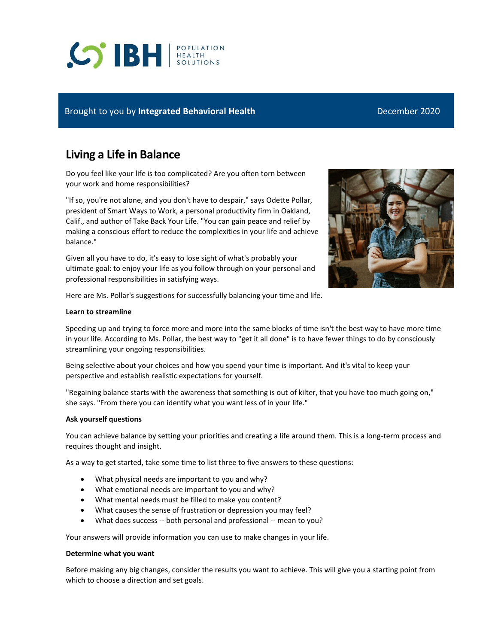# **CO'IBH REALTH**

## Brought to you by **Integrated Behavioral Health** December 2020

# **Living a Life in Balance**

Do you feel like your life is too complicated? Are you often torn between your work and home responsibilities?

"If so, you're not alone, and you don't have to despair," says Odette Pollar, president of Smart Ways to Work, a personal productivity firm in Oakland, Calif., and author of Take Back Your Life. "You can gain peace and relief by making a conscious effort to reduce the complexities in your life and achieve balance."

Given all you have to do, it's easy to lose sight of what's probably your ultimate goal: to enjoy your life as you follow through on your personal and professional responsibilities in satisfying ways.



Here are Ms. Pollar's suggestions for successfully balancing your time and life.

#### **Learn to streamline**

Speeding up and trying to force more and more into the same blocks of time isn't the best way to have more time in your life. According to Ms. Pollar, the best way to "get it all done" is to have fewer things to do by consciously streamlining your ongoing responsibilities.

Being selective about your choices and how you spend your time is important. And it's vital to keep your perspective and establish realistic expectations for yourself.

"Regaining balance starts with the awareness that something is out of kilter, that you have too much going on," she says. "From there you can identify what you want less of in your life."

#### **Ask yourself questions**

You can achieve balance by setting your priorities and creating a life around them. This is a long-term process and requires thought and insight.

As a way to get started, take some time to list three to five answers to these questions:

- What physical needs are important to you and why?
- What emotional needs are important to you and why?
- What mental needs must be filled to make you content?
- What causes the sense of frustration or depression you may feel?
- What does success -- both personal and professional -- mean to you?

Your answers will provide information you can use to make changes in your life.

#### **Determine what you want**

Before making any big changes, consider the results you want to achieve. This will give you a starting point from which to choose a direction and set goals.